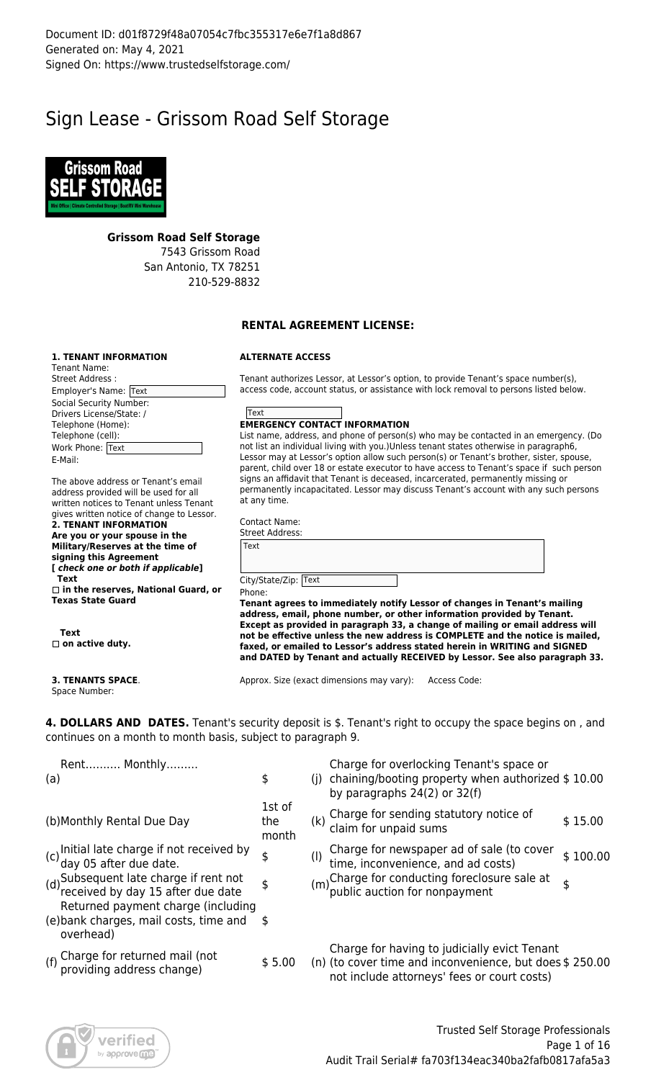# Sign Lease - Grissom Road Self Storage



#### **Grissom Road Self Storage**

7543 Grissom Road San Antonio, TX 78251 210-529-8832

#### **RENTAL AGREEMENT LICENSE:**

#### **1. TENANT INFORMATION**

| Tenant Name:                   |
|--------------------------------|
| Street Address:                |
| Employer's Name: Text          |
| <b>Social Security Number:</b> |
| Drivers License/State: /       |
| Telephone (Home):              |
| Telephone (cell):              |
| Work Phone: Text               |
| E-Mail:                        |

The above address or Tenant's email address provided will be used for all written notices to Tenant unless Tenant gives written notice of change to Lessor. **2. TENANT INFORMATION Are you or your spouse in the Military/Reserves at the time of signing this Agreement**

**[** *check one or both if applicable***] Text**

 **in the reserves, National Guard, or Texas State Guard**

 **Text** □ on active duty.

**3. TENANTS SPACE**. Space Number:

# **ALTERNATE ACCESS**

Tenant authorizes Lessor, at Lessor's option, to provide Tenant's space number(s), access code, account status, or assistance with lock removal to persons listed below.



List name, address, and phone of person(s) who may be contacted in an emergency. (Do not list an individual living with you.)Unless tenant states otherwise in paragraph6, Lessor may at Lessor's option allow such person(s) or Tenant's brother, sister, spouse, parent, child over 18 or estate executor to have access to Tenant's space if such person signs an affidavit that Tenant is deceased, incarcerated, permanently missing or permanently incapacitated. Lessor may discuss Tenant's account with any such persons at any time.

Contact Name: Street Address:

| Text                 |  |  |  |
|----------------------|--|--|--|
|                      |  |  |  |
| City/State/Zip: Text |  |  |  |

Phone:

**Tenant agrees to immediately notify Lessor of changes in Tenant's mailing address, email, phone number, or other information provided by Tenant. Except as provided in paragraph 33, a change of mailing or email address will not be effective unless the new address is COMPLETE and the notice is mailed, faxed, or emailed to Lessor's address stated herein in WRITING and SIGNED and DATED by Tenant and actually RECEIVED by Lessor. See also paragraph 33.**

Approx. Size (exact dimensions may vary): Access Code:

**4. DOLLARS AND DATES.** Tenant's security deposit is \$. Tenant's right to occupy the space begins on , and continues on a month to month basis, subject to paragraph 9.

| Rent Monthly<br>(a)                                                                                                   | \$                     | Charge for overlocking Tenant's space or<br>(j) chaining/booting property when authorized $$10.00$<br>by paragraphs $24(2)$ or $32(f)$ |                                                                                                                                                        |          |  |  |
|-----------------------------------------------------------------------------------------------------------------------|------------------------|----------------------------------------------------------------------------------------------------------------------------------------|--------------------------------------------------------------------------------------------------------------------------------------------------------|----------|--|--|
| (b) Monthly Rental Due Day                                                                                            | 1st of<br>the<br>month |                                                                                                                                        | (k) Charge for sending statutory notice of<br>claim for unpaid sums                                                                                    | \$15.00  |  |  |
| (c) Initial late charge if not received by<br>(c) day 05 after due date.                                              | \$                     | $($ l)                                                                                                                                 | Charge for newspaper ad of sale (to cover<br>time, inconvenience, and ad costs)                                                                        | \$100.00 |  |  |
| (d) Subsequent late charge if rent not<br>(d) received by day 15 after due date<br>Returned payment charge (including | $\frac{1}{2}$          |                                                                                                                                        | (m)Charge for conducting foreclosure sale at<br>(m)public auction for nonpayment                                                                       | \$       |  |  |
| (e) bank charges, mail costs, time and<br>overhead)                                                                   | - \$                   |                                                                                                                                        |                                                                                                                                                        |          |  |  |
| (f) Charge for returned mail (not<br>providing address change)                                                        | \$5.00                 |                                                                                                                                        | Charge for having to judicially evict Tenant<br>(n) (to cover time and inconvenience, but does \$250.00<br>not include attorneys' fees or court costs) |          |  |  |
|                                                                                                                       |                        |                                                                                                                                        |                                                                                                                                                        |          |  |  |

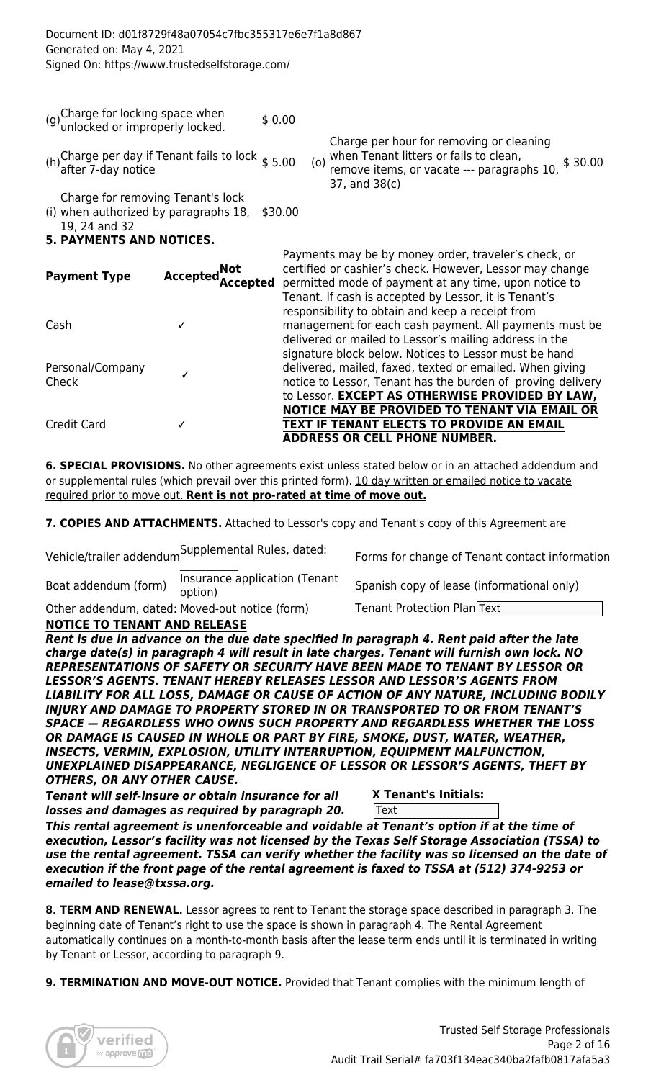| Document ID: d01f8729f48a07054c7fbc355317e6e7f1a8d867<br>Generated on: May 4, 2021<br>Signed On: https://www.trustedselfstorage.com/ |                          |         |                                                                                                                                                                                                                                    |  |  |  |  |
|--------------------------------------------------------------------------------------------------------------------------------------|--------------------------|---------|------------------------------------------------------------------------------------------------------------------------------------------------------------------------------------------------------------------------------------|--|--|--|--|
| (g) Charge for locking space when<br>unlocked or improperly locked.                                                                  |                          | \$0.00  | Charge per hour for removing or cleaning<br>when Tenant litters or fails to clean,                                                                                                                                                 |  |  |  |  |
| (h) Charge per day if Tenant fails to lock $$5.00$<br>after 7-day notice                                                             |                          |         | \$30.00<br>(0)<br>remove items, or vacate --- paragraphs 10,<br>37, and 38(c)                                                                                                                                                      |  |  |  |  |
| Charge for removing Tenant's lock<br>(i) when authorized by paragraphs 18,<br>19, 24 and 32<br><b>5. PAYMENTS AND NOTICES.</b>       |                          | \$30.00 |                                                                                                                                                                                                                                    |  |  |  |  |
| <b>Payment Type</b>                                                                                                                  | Accepted Not<br>Accepted |         | Payments may be by money order, traveler's check, or<br>certified or cashier's check. However, Lessor may change<br>permitted mode of payment at any time, upon notice to<br>Tenant. If cash is accepted by Lessor, it is Tenant's |  |  |  |  |
| Cash                                                                                                                                 | ✓                        |         | responsibility to obtain and keep a receipt from<br>management for each cash payment. All payments must be<br>delivered or mailed to Lessor's mailing address in the<br>signature block below. Notices to Lessor must be hand      |  |  |  |  |
| Personal/Company<br>Check                                                                                                            | ✓                        |         | delivered, mailed, faxed, texted or emailed. When giving<br>notice to Lessor, Tenant has the burden of proving delivery<br>to Lessor. EXCEPT AS OTHERWISE PROVIDED BY LAW,                                                         |  |  |  |  |
| <b>Credit Card</b>                                                                                                                   | ✓                        |         | NOTICE MAY BE PROVIDED TO TENANT VIA EMAIL OR<br>TEXT IF TENANT ELECTS TO PROVIDE AN EMAIL<br><b>ADDRESS OR CELL PHONE NUMBER.</b>                                                                                                 |  |  |  |  |

**6. SPECIAL PROVISIONS.** No other agreements exist unless stated below or in an attached addendum and or supplemental rules (which prevail over this printed form). 10 day written or emailed notice to vacate required prior to move out. **Rent is not pro-rated at time of move out.**

7. COPIES AND ATTACHMENTS. Attached to Lessor's copy and Tenant's copy of this Agreement are

Vehicle/trailer addendum Supplemental Rules, dated:<br>

Boat addendum (form) lnsurance application (Tenant<br>option)

Other addendum, dated: Moved-out notice (form) Tenant Protection Plan Text

Forms for change of Tenant contact information

Spanish copy of lease (informational only)

**NOTICE TO TENANT AND RELEASE**

*Rent is due in advance on the due date specified in paragraph 4. Rent paid after the late charge date(s) in paragraph 4 will result in late charges. Tenant will furnish own lock. NO REPRESENTATIONS OF SAFETY OR SECURITY HAVE BEEN MADE TO TENANT BY LESSOR OR LESSOR'S AGENTS. TENANT HEREBY RELEASES LESSOR AND LESSOR'S AGENTS FROM LIABILITY FOR ALL LOSS, DAMAGE OR CAUSE OF ACTION OF ANY NATURE, INCLUDING BODILY INJURY AND DAMAGE TO PROPERTY STORED IN OR TRANSPORTED TO OR FROM TENANT'S SPACE — REGARDLESS WHO OWNS SUCH PROPERTY AND REGARDLESS WHETHER THE LOSS OR DAMAGE IS CAUSED IN WHOLE OR PART BY FIRE, SMOKE, DUST, WATER, WEATHER, INSECTS, VERMIN, EXPLOSION, UTILITY INTERRUPTION, EQUIPMENT MALFUNCTION, UNEXPLAINED DISAPPEARANCE, NEGLIGENCE OF LESSOR OR LESSOR'S AGENTS, THEFT BY OTHERS, OR ANY OTHER CAUSE.*

*Tenant will self-insure or obtain insurance for all losses and damages as required by paragraph 20.* 

# **X Tenant's Initials:**

**Text** 

*This rental agreement is unenforceable and voidable at Tenant's option if at the time of execution, Lessor's facility was not licensed by the Texas Self Storage Association (TSSA) to use the rental agreement. TSSA can verify whether the facility was so licensed on the date of execution if the front page of the rental agreement is faxed to TSSA at (512) 374-9253 or emailed to lease@txssa.org.*

**8. TERM AND RENEWAL.** Lessor agrees to rent to Tenant the storage space described in paragraph 3. The beginning date of Tenant's right to use the space is shown in paragraph 4. The Rental Agreement automatically continues on a month-to-month basis after the lease term ends until it is terminated in writing by Tenant or Lessor, according to paragraph 9.

**9. TERMINATION AND MOVE-OUT NOTICE.** Provided that Tenant complies with the minimum length of

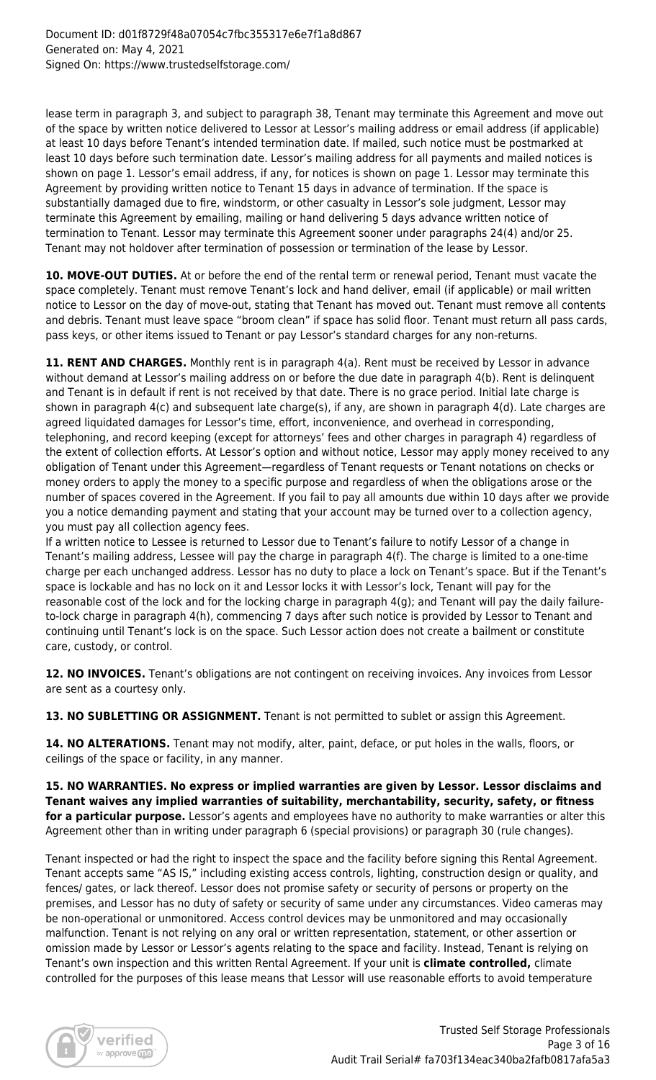lease term in paragraph 3, and subject to paragraph 38, Tenant may terminate this Agreement and move out of the space by written notice delivered to Lessor at Lessor's mailing address or email address (if applicable) at least 10 days before Tenant's intended termination date. If mailed, such notice must be postmarked at least 10 days before such termination date. Lessor's mailing address for all payments and mailed notices is shown on page 1. Lessor's email address, if any, for notices is shown on page 1. Lessor may terminate this Agreement by providing written notice to Tenant 15 days in advance of termination. If the space is substantially damaged due to fire, windstorm, or other casualty in Lessor's sole judgment, Lessor may terminate this Agreement by emailing, mailing or hand delivering 5 days advance written notice of termination to Tenant. Lessor may terminate this Agreement sooner under paragraphs 24(4) and/or 25. Tenant may not holdover after termination of possession or termination of the lease by Lessor.

**10. MOVE-OUT DUTIES.** At or before the end of the rental term or renewal period, Tenant must vacate the space completely. Tenant must remove Tenant's lock and hand deliver, email (if applicable) or mail written notice to Lessor on the day of move-out, stating that Tenant has moved out. Tenant must remove all contents and debris. Tenant must leave space "broom clean" if space has solid floor. Tenant must return all pass cards, pass keys, or other items issued to Tenant or pay Lessor's standard charges for any non-returns.

11. RENT AND CHARGES. Monthly rent is in paragraph 4(a). Rent must be received by Lessor in advance without demand at Lessor's mailing address on or before the due date in paragraph 4(b). Rent is delinquent and Tenant is in default if rent is not received by that date. There is no grace period. Initial late charge is shown in paragraph 4(c) and subsequent late charge(s), if any, are shown in paragraph 4(d). Late charges are agreed liquidated damages for Lessor's time, effort, inconvenience, and overhead in corresponding, telephoning, and record keeping (except for attorneys' fees and other charges in paragraph 4) regardless of the extent of collection efforts. At Lessor's option and without notice, Lessor may apply money received to any obligation of Tenant under this Agreement—regardless of Tenant requests or Tenant notations on checks or money orders to apply the money to a specific purpose and regardless of when the obligations arose or the number of spaces covered in the Agreement. If you fail to pay all amounts due within 10 days after we provide you a notice demanding payment and stating that your account may be turned over to a collection agency, you must pay all collection agency fees.

If a written notice to Lessee is returned to Lessor due to Tenant's failure to notify Lessor of a change in Tenant's mailing address, Lessee will pay the charge in paragraph 4(f). The charge is limited to a one-time charge per each unchanged address. Lessor has no duty to place a lock on Tenant's space. But if the Tenant's space is lockable and has no lock on it and Lessor locks it with Lessor's lock, Tenant will pay for the reasonable cost of the lock and for the locking charge in paragraph 4(g); and Tenant will pay the daily failureto-lock charge in paragraph 4(h), commencing 7 days after such notice is provided by Lessor to Tenant and continuing until Tenant's lock is on the space. Such Lessor action does not create a bailment or constitute care, custody, or control.

**12. NO INVOICES.** Tenant's obligations are not contingent on receiving invoices. Any invoices from Lessor are sent as a courtesy only.

13. NO SUBLETTING OR ASSIGNMENT. Tenant is not permitted to sublet or assign this Agreement.

**14. NO ALTERATIONS.** Tenant may not modify, alter, paint, deface, or put holes in the walls, floors, or ceilings of the space or facility, in any manner.

**15. NO WARRANTIES. No express or implied warranties are given by Lessor. Lessor disclaims and Tenant waives any implied warranties of suitability, merchantability, security, safety, or fitness for a particular purpose.** Lessor's agents and employees have no authority to make warranties or alter this Agreement other than in writing under paragraph 6 (special provisions) or paragraph 30 (rule changes).

Tenant inspected or had the right to inspect the space and the facility before signing this Rental Agreement. Tenant accepts same "AS IS," including existing access controls, lighting, construction design or quality, and fences/ gates, or lack thereof. Lessor does not promise safety or security of persons or property on the premises, and Lessor has no duty of safety or security of same under any circumstances. Video cameras may be non-operational or unmonitored. Access control devices may be unmonitored and may occasionally malfunction. Tenant is not relying on any oral or written representation, statement, or other assertion or omission made by Lessor or Lessor's agents relating to the space and facility. Instead, Tenant is relying on Tenant's own inspection and this written Rental Agreement. If your unit is **climate controlled,** climate controlled for the purposes of this lease means that Lessor will use reasonable efforts to avoid temperature

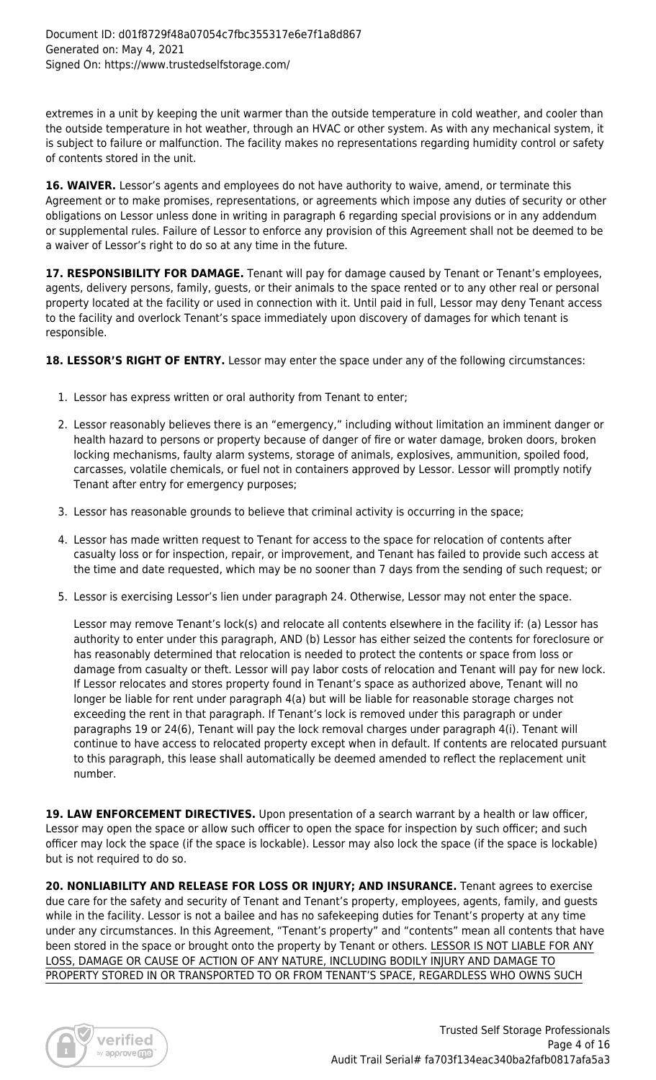extremes in a unit by keeping the unit warmer than the outside temperature in cold weather, and cooler than the outside temperature in hot weather, through an HVAC or other system. As with any mechanical system, it is subject to failure or malfunction. The facility makes no representations regarding humidity control or safety of contents stored in the unit.

**16. WAIVER.** Lessor's agents and employees do not have authority to waive, amend, or terminate this Agreement or to make promises, representations, or agreements which impose any duties of security or other obligations on Lessor unless done in writing in paragraph 6 regarding special provisions or in any addendum or supplemental rules. Failure of Lessor to enforce any provision of this Agreement shall not be deemed to be a waiver of Lessor's right to do so at any time in the future.

17. RESPONSIBILITY FOR DAMAGE. Tenant will pay for damage caused by Tenant or Tenant's employees, agents, delivery persons, family, guests, or their animals to the space rented or to any other real or personal property located at the facility or used in connection with it. Until paid in full, Lessor may deny Tenant access to the facility and overlock Tenant's space immediately upon discovery of damages for which tenant is responsible.

18. LESSOR'S RIGHT OF ENTRY. Lessor may enter the space under any of the following circumstances:

- 1. Lessor has express written or oral authority from Tenant to enter;
- 2. Lessor reasonably believes there is an "emergency," including without limitation an imminent danger or health hazard to persons or property because of danger of fire or water damage, broken doors, broken locking mechanisms, faulty alarm systems, storage of animals, explosives, ammunition, spoiled food, carcasses, volatile chemicals, or fuel not in containers approved by Lessor. Lessor will promptly notify Tenant after entry for emergency purposes;
- 3. Lessor has reasonable grounds to believe that criminal activity is occurring in the space;
- 4. Lessor has made written request to Tenant for access to the space for relocation of contents after casualty loss or for inspection, repair, or improvement, and Tenant has failed to provide such access at the time and date requested, which may be no sooner than 7 days from the sending of such request; or
- 5. Lessor is exercising Lessor's lien under paragraph 24. Otherwise, Lessor may not enter the space.

Lessor may remove Tenant's lock(s) and relocate all contents elsewhere in the facility if: (a) Lessor has authority to enter under this paragraph, AND (b) Lessor has either seized the contents for foreclosure or has reasonably determined that relocation is needed to protect the contents or space from loss or damage from casualty or theft. Lessor will pay labor costs of relocation and Tenant will pay for new lock. If Lessor relocates and stores property found in Tenant's space as authorized above, Tenant will no longer be liable for rent under paragraph 4(a) but will be liable for reasonable storage charges not exceeding the rent in that paragraph. If Tenant's lock is removed under this paragraph or under paragraphs 19 or 24(6), Tenant will pay the lock removal charges under paragraph 4(i). Tenant will continue to have access to relocated property except when in default. If contents are relocated pursuant to this paragraph, this lease shall automatically be deemed amended to reflect the replacement unit number.

19. LAW ENFORCEMENT DIRECTIVES. Upon presentation of a search warrant by a health or law officer, Lessor may open the space or allow such officer to open the space for inspection by such officer; and such officer may lock the space (if the space is lockable). Lessor may also lock the space (if the space is lockable) but is not required to do so.

**20. NONLIABILITY AND RELEASE FOR LOSS OR INJURY; AND INSURANCE.** Tenant agrees to exercise due care for the safety and security of Tenant and Tenant's property, employees, agents, family, and guests while in the facility. Lessor is not a bailee and has no safekeeping duties for Tenant's property at any time under any circumstances. In this Agreement, "Tenant's property" and "contents" mean all contents that have been stored in the space or brought onto the property by Tenant or others. LESSOR IS NOT LIABLE FOR ANY LOSS, DAMAGE OR CAUSE OF ACTION OF ANY NATURE, INCLUDING BODILY INJURY AND DAMAGE TO PROPERTY STORED IN OR TRANSPORTED TO OR FROM TENANT'S SPACE, REGARDLESS WHO OWNS SUCH

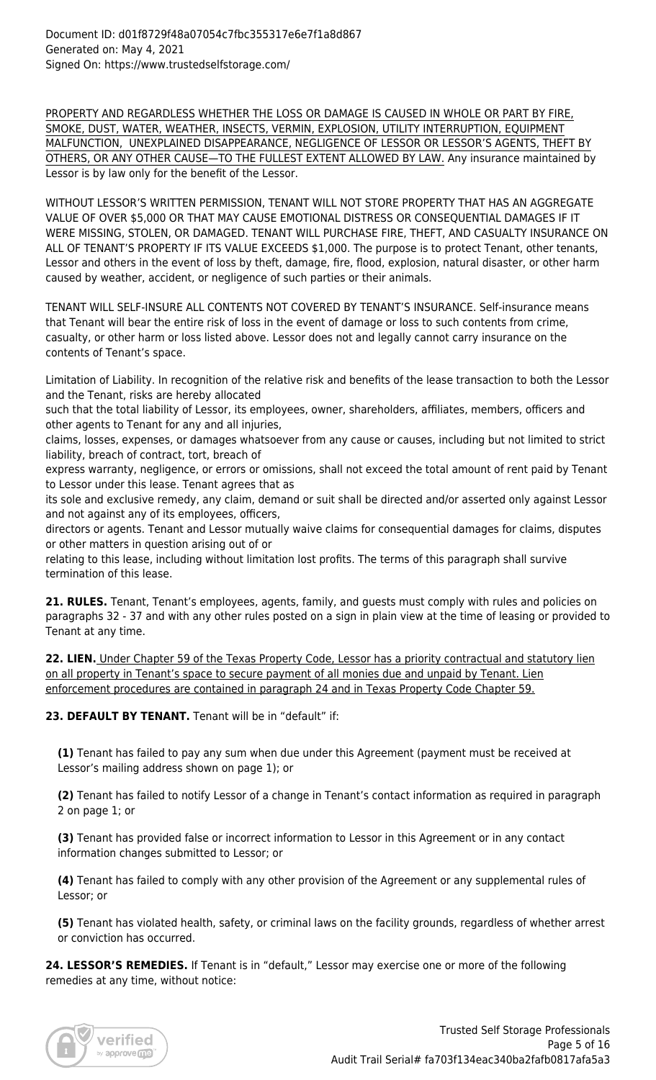PROPERTY AND REGARDLESS WHETHER THE LOSS OR DAMAGE IS CAUSED IN WHOLE OR PART BY FIRE, SMOKE, DUST, WATER, WEATHER, INSECTS, VERMIN, EXPLOSION, UTILITY INTERRUPTION, EQUIPMENT MALFUNCTION, UNEXPLAINED DISAPPEARANCE, NEGLIGENCE OF LESSOR OR LESSOR'S AGENTS, THEFT BY OTHERS, OR ANY OTHER CAUSE—TO THE FULLEST EXTENT ALLOWED BY LAW. Any insurance maintained by Lessor is by law only for the benefit of the Lessor.

WITHOUT LESSOR'S WRITTEN PERMISSION, TENANT WILL NOT STORE PROPERTY THAT HAS AN AGGREGATE VALUE OF OVER \$5,000 OR THAT MAY CAUSE EMOTIONAL DISTRESS OR CONSEQUENTIAL DAMAGES IF IT WERE MISSING, STOLEN, OR DAMAGED. TENANT WILL PURCHASE FIRE, THEFT, AND CASUALTY INSURANCE ON ALL OF TENANT'S PROPERTY IF ITS VALUE EXCEEDS \$1,000. The purpose is to protect Tenant, other tenants, Lessor and others in the event of loss by theft, damage, fire, flood, explosion, natural disaster, or other harm caused by weather, accident, or negligence of such parties or their animals.

TENANT WILL SELF-INSURE ALL CONTENTS NOT COVERED BY TENANT'S INSURANCE. Self-insurance means that Tenant will bear the entire risk of loss in the event of damage or loss to such contents from crime, casualty, or other harm or loss listed above. Lessor does not and legally cannot carry insurance on the contents of Tenant's space.

Limitation of Liability. In recognition of the relative risk and benefits of the lease transaction to both the Lessor and the Tenant, risks are hereby allocated

such that the total liability of Lessor, its employees, owner, shareholders, affiliates, members, officers and other agents to Tenant for any and all injuries,

claims, losses, expenses, or damages whatsoever from any cause or causes, including but not limited to strict liability, breach of contract, tort, breach of

express warranty, negligence, or errors or omissions, shall not exceed the total amount of rent paid by Tenant to Lessor under this lease. Tenant agrees that as

its sole and exclusive remedy, any claim, demand or suit shall be directed and/or asserted only against Lessor and not against any of its employees, officers,

directors or agents. Tenant and Lessor mutually waive claims for consequential damages for claims, disputes or other matters in question arising out of or

relating to this lease, including without limitation lost profits. The terms of this paragraph shall survive termination of this lease.

**21. RULES.** Tenant, Tenant's employees, agents, family, and guests must comply with rules and policies on paragraphs 32 - 37 and with any other rules posted on a sign in plain view at the time of leasing or provided to Tenant at any time.

**22. LIEN.** Under Chapter 59 of the Texas Property Code, Lessor has a priority contractual and statutory lien on all property in Tenant's space to secure payment of all monies due and unpaid by Tenant. Lien enforcement procedures are contained in paragraph 24 and in Texas Property Code Chapter 59.

23. DEFAULT BY TENANT. Tenant will be in "default" if:

**(1)** Tenant has failed to pay any sum when due under this Agreement (payment must be received at Lessor's mailing address shown on page 1); or

**(2)** Tenant has failed to notify Lessor of a change in Tenant's contact information as required in paragraph 2 on page 1; or

**(3)** Tenant has provided false or incorrect information to Lessor in this Agreement or in any contact information changes submitted to Lessor; or

**(4)** Tenant has failed to comply with any other provision of the Agreement or any supplemental rules of Lessor; or

**(5)** Tenant has violated health, safety, or criminal laws on the facility grounds, regardless of whether arrest or conviction has occurred.

**24. LESSOR'S REMEDIES.** If Tenant is in "default," Lessor may exercise one or more of the following remedies at any time, without notice:

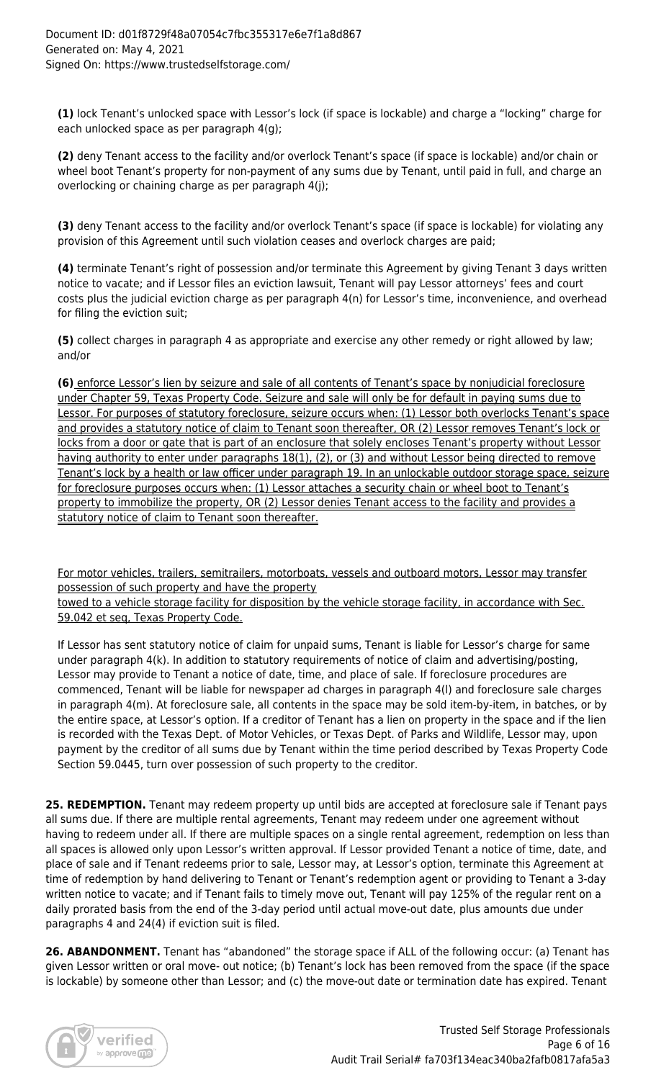**(1)** lock Tenant's unlocked space with Lessor's lock (if space is lockable) and charge a "locking" charge for each unlocked space as per paragraph 4(g);

**(2)** deny Tenant access to the facility and/or overlock Tenant's space (if space is lockable) and/or chain or wheel boot Tenant's property for non-payment of any sums due by Tenant, until paid in full, and charge an overlocking or chaining charge as per paragraph 4(j);

**(3)** deny Tenant access to the facility and/or overlock Tenant's space (if space is lockable) for violating any provision of this Agreement until such violation ceases and overlock charges are paid;

**(4)** terminate Tenant's right of possession and/or terminate this Agreement by giving Tenant 3 days written notice to vacate; and if Lessor files an eviction lawsuit, Tenant will pay Lessor attorneys' fees and court costs plus the judicial eviction charge as per paragraph 4(n) for Lessor's time, inconvenience, and overhead for filing the eviction suit;

**(5)** collect charges in paragraph 4 as appropriate and exercise any other remedy or right allowed by law; and/or

**(6)** enforce Lessor's lien by seizure and sale of all contents of Tenant's space by nonjudicial foreclosure under Chapter 59, Texas Property Code. Seizure and sale will only be for default in paying sums due to Lessor. For purposes of statutory foreclosure, seizure occurs when: (1) Lessor both overlocks Tenant's space and provides a statutory notice of claim to Tenant soon thereafter, OR (2) Lessor removes Tenant's lock or locks from a door or gate that is part of an enclosure that solely encloses Tenant's property without Lessor having authority to enter under paragraphs 18(1), (2), or (3) and without Lessor being directed to remove Tenant's lock by a health or law officer under paragraph 19. In an unlockable outdoor storage space, seizure for foreclosure purposes occurs when: (1) Lessor attaches a security chain or wheel boot to Tenant's property to immobilize the property, OR (2) Lessor denies Tenant access to the facility and provides a statutory notice of claim to Tenant soon thereafter.

For motor vehicles, trailers, semitrailers, motorboats, vessels and outboard motors, Lessor may transfer possession of such property and have the property

towed to a vehicle storage facility for disposition by the vehicle storage facility, in accordance with Sec. 59.042 et seq, Texas Property Code.

If Lessor has sent statutory notice of claim for unpaid sums, Tenant is liable for Lessor's charge for same under paragraph 4(k). In addition to statutory requirements of notice of claim and advertising/posting, Lessor may provide to Tenant a notice of date, time, and place of sale. If foreclosure procedures are commenced, Tenant will be liable for newspaper ad charges in paragraph 4(l) and foreclosure sale charges in paragraph 4(m). At foreclosure sale, all contents in the space may be sold item-by-item, in batches, or by the entire space, at Lessor's option. If a creditor of Tenant has a lien on property in the space and if the lien is recorded with the Texas Dept. of Motor Vehicles, or Texas Dept. of Parks and Wildlife, Lessor may, upon payment by the creditor of all sums due by Tenant within the time period described by Texas Property Code Section 59.0445, turn over possession of such property to the creditor.

25. REDEMPTION. Tenant may redeem property up until bids are accepted at foreclosure sale if Tenant pays all sums due. If there are multiple rental agreements, Tenant may redeem under one agreement without having to redeem under all. If there are multiple spaces on a single rental agreement, redemption on less than all spaces is allowed only upon Lessor's written approval. If Lessor provided Tenant a notice of time, date, and place of sale and if Tenant redeems prior to sale, Lessor may, at Lessor's option, terminate this Agreement at time of redemption by hand delivering to Tenant or Tenant's redemption agent or providing to Tenant a 3-day written notice to vacate; and if Tenant fails to timely move out, Tenant will pay 125% of the regular rent on a daily prorated basis from the end of the 3-day period until actual move-out date, plus amounts due under paragraphs 4 and 24(4) if eviction suit is filed.

26. ABANDONMENT. Tenant has "abandoned" the storage space if ALL of the following occur: (a) Tenant has given Lessor written or oral move- out notice; (b) Tenant's lock has been removed from the space (if the space is lockable) by someone other than Lessor; and (c) the move-out date or termination date has expired. Tenant

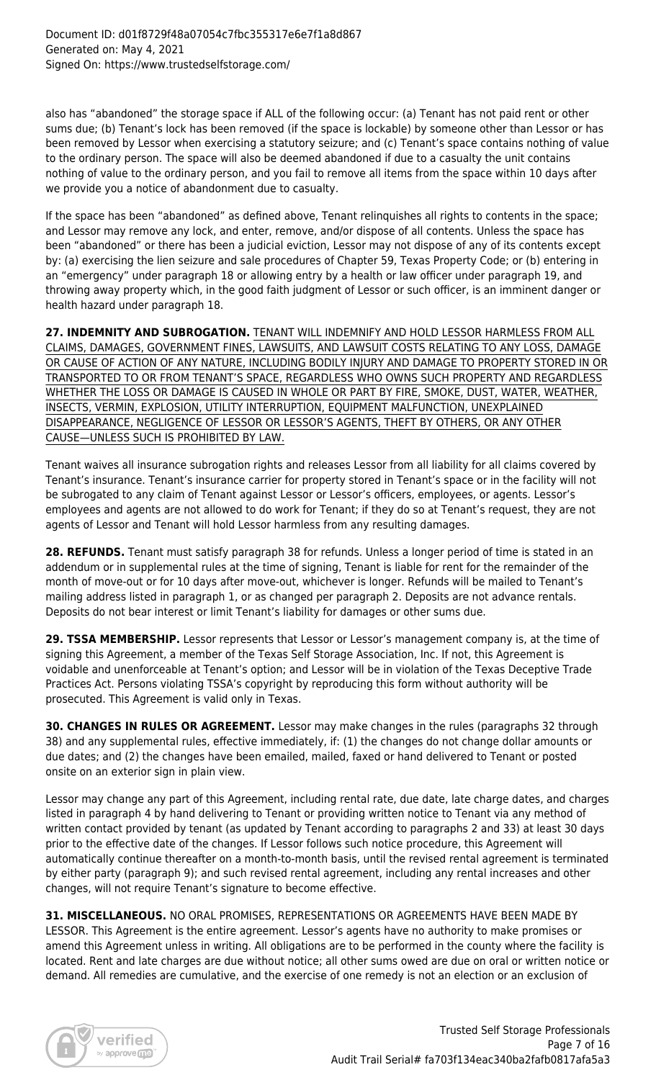also has "abandoned" the storage space if ALL of the following occur: (a) Tenant has not paid rent or other sums due; (b) Tenant's lock has been removed (if the space is lockable) by someone other than Lessor or has been removed by Lessor when exercising a statutory seizure; and (c) Tenant's space contains nothing of value to the ordinary person. The space will also be deemed abandoned if due to a casualty the unit contains nothing of value to the ordinary person, and you fail to remove all items from the space within 10 days after we provide you a notice of abandonment due to casualty.

If the space has been "abandoned" as defined above, Tenant relinquishes all rights to contents in the space; and Lessor may remove any lock, and enter, remove, and/or dispose of all contents. Unless the space has been "abandoned" or there has been a judicial eviction, Lessor may not dispose of any of its contents except by: (a) exercising the lien seizure and sale procedures of Chapter 59, Texas Property Code; or (b) entering in an "emergency" under paragraph 18 or allowing entry by a health or law officer under paragraph 19, and throwing away property which, in the good faith judgment of Lessor or such officer, is an imminent danger or health hazard under paragraph 18.

**27. INDEMNITY AND SUBROGATION.** TENANT WILL INDEMNIFY AND HOLD LESSOR HARMLESS FROM ALL CLAIMS, DAMAGES, GOVERNMENT FINES, LAWSUITS, AND LAWSUIT COSTS RELATING TO ANY LOSS, DAMAGE OR CAUSE OF ACTION OF ANY NATURE, INCLUDING BODILY INJURY AND DAMAGE TO PROPERTY STORED IN OR TRANSPORTED TO OR FROM TENANT'S SPACE, REGARDLESS WHO OWNS SUCH PROPERTY AND REGARDLESS WHETHER THE LOSS OR DAMAGE IS CAUSED IN WHOLE OR PART BY FIRE, SMOKE, DUST, WATER, WEATHER, INSECTS, VERMIN, EXPLOSION, UTILITY INTERRUPTION, EQUIPMENT MALFUNCTION, UNEXPLAINED DISAPPEARANCE, NEGLIGENCE OF LESSOR OR LESSOR'S AGENTS, THEFT BY OTHERS, OR ANY OTHER CAUSE—UNLESS SUCH IS PROHIBITED BY LAW.

Tenant waives all insurance subrogation rights and releases Lessor from all liability for all claims covered by Tenant's insurance. Tenant's insurance carrier for property stored in Tenant's space or in the facility will not be subrogated to any claim of Tenant against Lessor or Lessor's officers, employees, or agents. Lessor's employees and agents are not allowed to do work for Tenant; if they do so at Tenant's request, they are not agents of Lessor and Tenant will hold Lessor harmless from any resulting damages.

**28. REFUNDS.** Tenant must satisfy paragraph 38 for refunds. Unless a longer period of time is stated in an addendum or in supplemental rules at the time of signing, Tenant is liable for rent for the remainder of the month of move-out or for 10 days after move-out, whichever is longer. Refunds will be mailed to Tenant's mailing address listed in paragraph 1, or as changed per paragraph 2. Deposits are not advance rentals. Deposits do not bear interest or limit Tenant's liability for damages or other sums due.

**29. TSSA MEMBERSHIP.** Lessor represents that Lessor or Lessor's management company is, at the time of signing this Agreement, a member of the Texas Self Storage Association, Inc. If not, this Agreement is voidable and unenforceable at Tenant's option; and Lessor will be in violation of the Texas Deceptive Trade Practices Act. Persons violating TSSA's copyright by reproducing this form without authority will be prosecuted. This Agreement is valid only in Texas.

**30. CHANGES IN RULES OR AGREEMENT.** Lessor may make changes in the rules (paragraphs 32 through 38) and any supplemental rules, effective immediately, if: (1) the changes do not change dollar amounts or due dates; and (2) the changes have been emailed, mailed, faxed or hand delivered to Tenant or posted onsite on an exterior sign in plain view.

Lessor may change any part of this Agreement, including rental rate, due date, late charge dates, and charges listed in paragraph 4 by hand delivering to Tenant or providing written notice to Tenant via any method of written contact provided by tenant (as updated by Tenant according to paragraphs 2 and 33) at least 30 days prior to the effective date of the changes. If Lessor follows such notice procedure, this Agreement will automatically continue thereafter on a month-to-month basis, until the revised rental agreement is terminated by either party (paragraph 9); and such revised rental agreement, including any rental increases and other changes, will not require Tenant's signature to become effective.

**31. MISCELLANEOUS.** NO ORAL PROMISES, REPRESENTATIONS OR AGREEMENTS HAVE BEEN MADE BY LESSOR. This Agreement is the entire agreement. Lessor's agents have no authority to make promises or amend this Agreement unless in writing. All obligations are to be performed in the county where the facility is located. Rent and late charges are due without notice; all other sums owed are due on oral or written notice or demand. All remedies are cumulative, and the exercise of one remedy is not an election or an exclusion of

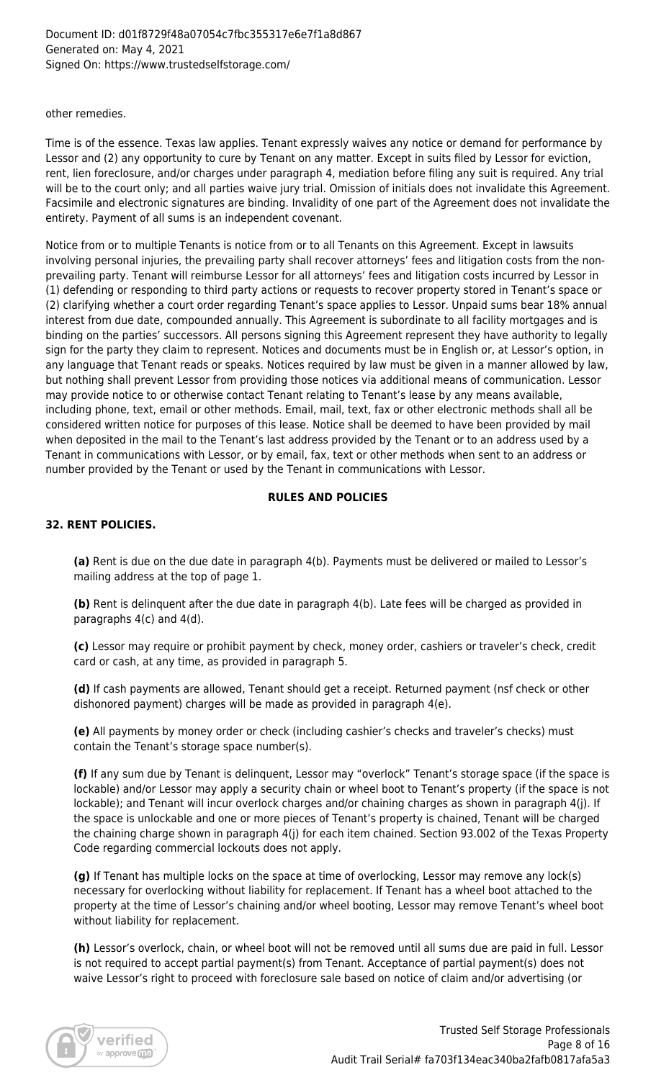other remedies.

Time is of the essence. Texas law applies. Tenant expressly waives any notice or demand for performance by Lessor and (2) any opportunity to cure by Tenant on any matter. Except in suits filed by Lessor for eviction, rent, lien foreclosure, and/or charges under paragraph 4, mediation before filing any suit is required. Any trial will be to the court only; and all parties waive jury trial. Omission of initials does not invalidate this Agreement. Facsimile and electronic signatures are binding. Invalidity of one part of the Agreement does not invalidate the entirety. Payment of all sums is an independent covenant.

Notice from or to multiple Tenants is notice from or to all Tenants on this Agreement. Except in lawsuits involving personal injuries, the prevailing party shall recover attorneys' fees and litigation costs from the nonprevailing party. Tenant will reimburse Lessor for all attorneys' fees and litigation costs incurred by Lessor in (1) defending or responding to third party actions or requests to recover property stored in Tenant's space or (2) clarifying whether a court order regarding Tenant's space applies to Lessor. Unpaid sums bear 18% annual interest from due date, compounded annually. This Agreement is subordinate to all facility mortgages and is binding on the parties' successors. All persons signing this Agreement represent they have authority to legally sign for the party they claim to represent. Notices and documents must be in English or, at Lessor's option, in any language that Tenant reads or speaks. Notices required by law must be given in a manner allowed by law, but nothing shall prevent Lessor from providing those notices via additional means of communication. Lessor may provide notice to or otherwise contact Tenant relating to Tenant's lease by any means available, including phone, text, email or other methods. Email, mail, text, fax or other electronic methods shall all be considered written notice for purposes of this lease. Notice shall be deemed to have been provided by mail when deposited in the mail to the Tenant's last address provided by the Tenant or to an address used by a Tenant in communications with Lessor, or by email, fax, text or other methods when sent to an address or number provided by the Tenant or used by the Tenant in communications with Lessor.

# **RULES AND POLICIES**

# **32. RENT POLICIES.**

**(a)** Rent is due on the due date in paragraph 4(b). Payments must be delivered or mailed to Lessor's mailing address at the top of page 1.

**(b)** Rent is delinquent after the due date in paragraph 4(b). Late fees will be charged as provided in paragraphs 4(c) and 4(d).

**(c)** Lessor may require or prohibit payment by check, money order, cashiers or traveler's check, credit card or cash, at any time, as provided in paragraph 5.

**(d)** If cash payments are allowed, Tenant should get a receipt. Returned payment (nsf check or other dishonored payment) charges will be made as provided in paragraph 4(e).

**(e)** All payments by money order or check (including cashier's checks and traveler's checks) must contain the Tenant's storage space number(s).

**(f)** If any sum due by Tenant is delinquent, Lessor may "overlock" Tenant's storage space (if the space is lockable) and/or Lessor may apply a security chain or wheel boot to Tenant's property (if the space is not lockable); and Tenant will incur overlock charges and/or chaining charges as shown in paragraph 4(j). If the space is unlockable and one or more pieces of Tenant's property is chained, Tenant will be charged the chaining charge shown in paragraph 4(j) for each item chained. Section 93.002 of the Texas Property Code regarding commercial lockouts does not apply.

**(g)** If Tenant has multiple locks on the space at time of overlocking, Lessor may remove any lock(s) necessary for overlocking without liability for replacement. If Tenant has a wheel boot attached to the property at the time of Lessor's chaining and/or wheel booting, Lessor may remove Tenant's wheel boot without liability for replacement.

**(h)** Lessor's overlock, chain, or wheel boot will not be removed until all sums due are paid in full. Lessor is not required to accept partial payment(s) from Tenant. Acceptance of partial payment(s) does not waive Lessor's right to proceed with foreclosure sale based on notice of claim and/or advertising (or

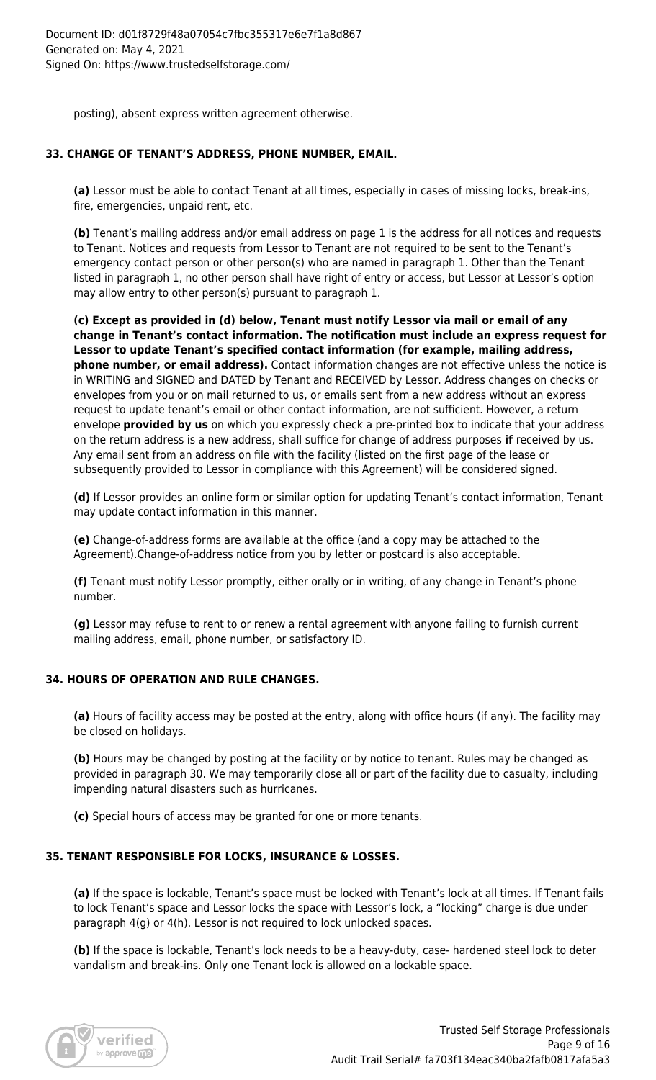posting), absent express written agreement otherwise.

# **33. CHANGE OF TENANT'S ADDRESS, PHONE NUMBER, EMAIL.**

**(a)** Lessor must be able to contact Tenant at all times, especially in cases of missing locks, break-ins, fire, emergencies, unpaid rent, etc.

**(b)** Tenant's mailing address and/or email address on page 1 is the address for all notices and requests to Tenant. Notices and requests from Lessor to Tenant are not required to be sent to the Tenant's emergency contact person or other person(s) who are named in paragraph 1. Other than the Tenant listed in paragraph 1, no other person shall have right of entry or access, but Lessor at Lessor's option may allow entry to other person(s) pursuant to paragraph 1.

**(c) Except as provided in (d) below, Tenant must notify Lessor via mail or email of any change in Tenant's contact information. The notification must include an express request for Lessor to update Tenant's specified contact information (for example, mailing address, phone number, or email address).** Contact information changes are not effective unless the notice is in WRITING and SIGNED and DATED by Tenant and RECEIVED by Lessor. Address changes on checks or envelopes from you or on mail returned to us, or emails sent from a new address without an express request to update tenant's email or other contact information, are not sufficient. However, a return envelope **provided by us** on which you expressly check a pre-printed box to indicate that your address on the return address is a new address, shall suffice for change of address purposes **if** received by us. Any email sent from an address on file with the facility (listed on the first page of the lease or subsequently provided to Lessor in compliance with this Agreement) will be considered signed.

**(d)** If Lessor provides an online form or similar option for updating Tenant's contact information, Tenant may update contact information in this manner.

**(e)** Change-of-address forms are available at the office (and a copy may be attached to the Agreement).Change-of-address notice from you by letter or postcard is also acceptable.

**(f)** Tenant must notify Lessor promptly, either orally or in writing, of any change in Tenant's phone number.

**(g)** Lessor may refuse to rent to or renew a rental agreement with anyone failing to furnish current mailing address, email, phone number, or satisfactory ID.

# **34. HOURS OF OPERATION AND RULE CHANGES.**

**(a)** Hours of facility access may be posted at the entry, along with office hours (if any). The facility may be closed on holidays.

**(b)** Hours may be changed by posting at the facility or by notice to tenant. Rules may be changed as provided in paragraph 30. We may temporarily close all or part of the facility due to casualty, including impending natural disasters such as hurricanes.

**(c)** Special hours of access may be granted for one or more tenants.

# **35. TENANT RESPONSIBLE FOR LOCKS, INSURANCE & LOSSES.**

**(a)** If the space is lockable, Tenant's space must be locked with Tenant's lock at all times. If Tenant fails to lock Tenant's space and Lessor locks the space with Lessor's lock, a "locking" charge is due under paragraph 4(g) or 4(h). Lessor is not required to lock unlocked spaces.

**(b)** If the space is lockable, Tenant's lock needs to be a heavy-duty, case- hardened steel lock to deter vandalism and break-ins. Only one Tenant lock is allowed on a lockable space.

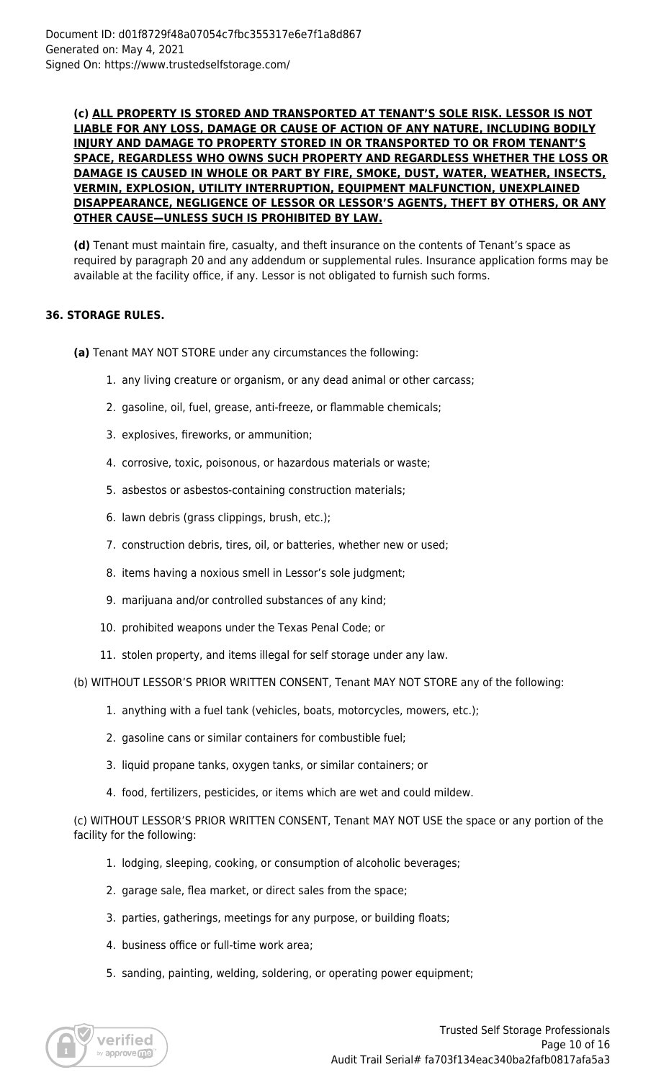#### **(c) ALL PROPERTY IS STORED AND TRANSPORTED AT TENANT'S SOLE RISK. LESSOR IS NOT LIABLE FOR ANY LOSS, DAMAGE OR CAUSE OF ACTION OF ANY NATURE, INCLUDING BODILY INJURY AND DAMAGE TO PROPERTY STORED IN OR TRANSPORTED TO OR FROM TENANT'S SPACE, REGARDLESS WHO OWNS SUCH PROPERTY AND REGARDLESS WHETHER THE LOSS OR DAMAGE IS CAUSED IN WHOLE OR PART BY FIRE, SMOKE, DUST, WATER, WEATHER, INSECTS, VERMIN, EXPLOSION, UTILITY INTERRUPTION, EQUIPMENT MALFUNCTION, UNEXPLAINED DISAPPEARANCE, NEGLIGENCE OF LESSOR OR LESSOR'S AGENTS, THEFT BY OTHERS, OR ANY OTHER CAUSE—UNLESS SUCH IS PROHIBITED BY LAW.**

**(d)** Tenant must maintain fire, casualty, and theft insurance on the contents of Tenant's space as required by paragraph 20 and any addendum or supplemental rules. Insurance application forms may be available at the facility office, if any. Lessor is not obligated to furnish such forms.

# **36. STORAGE RULES.**

**(a)** Tenant MAY NOT STORE under any circumstances the following:

- 1. any living creature or organism, or any dead animal or other carcass;
- 2. gasoline, oil, fuel, grease, anti-freeze, or flammable chemicals;
- 3. explosives, fireworks, or ammunition;
- 4. corrosive, toxic, poisonous, or hazardous materials or waste;
- 5. asbestos or asbestos-containing construction materials;
- 6. lawn debris (grass clippings, brush, etc.);
- 7. construction debris, tires, oil, or batteries, whether new or used;
- 8. items having a noxious smell in Lessor's sole judgment;
- 9. marijuana and/or controlled substances of any kind;
- 10. prohibited weapons under the Texas Penal Code; or
- 11. stolen property, and items illegal for self storage under any law.

(b) WITHOUT LESSOR'S PRIOR WRITTEN CONSENT, Tenant MAY NOT STORE any of the following:

- 1. anything with a fuel tank (vehicles, boats, motorcycles, mowers, etc.);
- 2. gasoline cans or similar containers for combustible fuel;
- 3. liquid propane tanks, oxygen tanks, or similar containers; or
- 4. food, fertilizers, pesticides, or items which are wet and could mildew.

(c) WITHOUT LESSOR'S PRIOR WRITTEN CONSENT, Tenant MAY NOT USE the space or any portion of the facility for the following:

- 1. lodging, sleeping, cooking, or consumption of alcoholic beverages;
- 2. garage sale, flea market, or direct sales from the space;
- 3. parties, gatherings, meetings for any purpose, or building floats;
- 4. business office or full-time work area;
- 5. sanding, painting, welding, soldering, or operating power equipment;

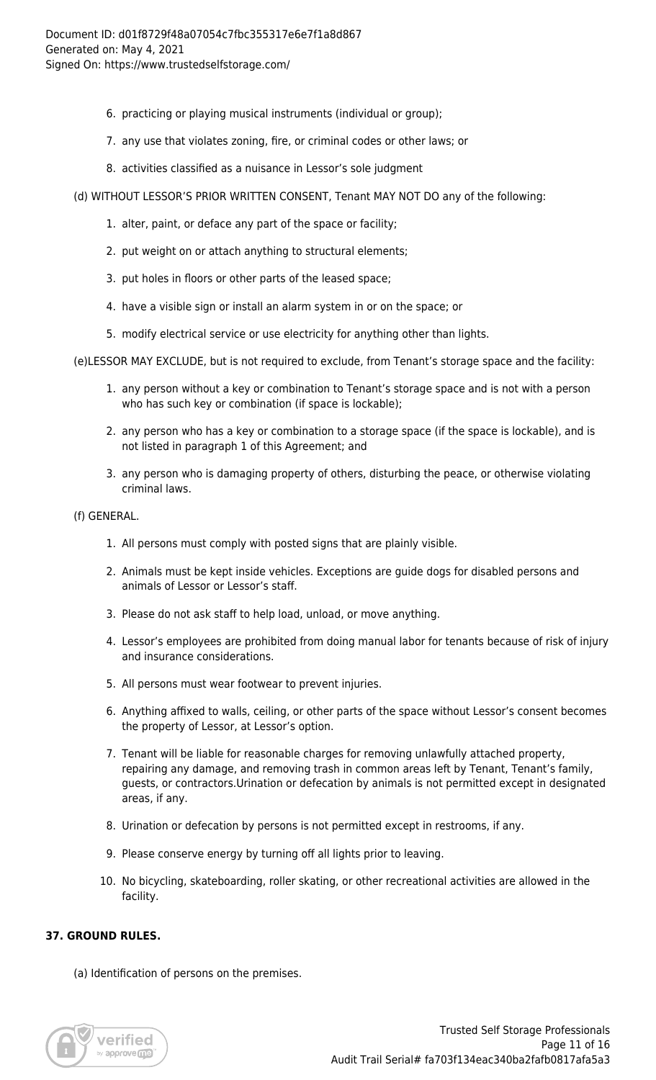- 6. practicing or playing musical instruments (individual or group);
- 7. any use that violates zoning, fire, or criminal codes or other laws; or
- 8. activities classified as a nuisance in Lessor's sole judgment
- (d) WITHOUT LESSOR'S PRIOR WRITTEN CONSENT, Tenant MAY NOT DO any of the following:
	- 1. alter, paint, or deface any part of the space or facility;
	- 2. put weight on or attach anything to structural elements;
	- 3. put holes in floors or other parts of the leased space;
	- 4. have a visible sign or install an alarm system in or on the space; or
	- 5. modify electrical service or use electricity for anything other than lights.

(e)LESSOR MAY EXCLUDE, but is not required to exclude, from Tenant's storage space and the facility:

- 1. any person without a key or combination to Tenant's storage space and is not with a person who has such key or combination (if space is lockable);
- 2. any person who has a key or combination to a storage space (if the space is lockable), and is not listed in paragraph 1 of this Agreement; and
- 3. any person who is damaging property of others, disturbing the peace, or otherwise violating criminal laws.
- (f) GENERAL.
	- 1. All persons must comply with posted signs that are plainly visible.
	- 2. Animals must be kept inside vehicles. Exceptions are guide dogs for disabled persons and animals of Lessor or Lessor's staff.
	- 3. Please do not ask staff to help load, unload, or move anything.
	- 4. Lessor's employees are prohibited from doing manual labor for tenants because of risk of injury and insurance considerations.
	- 5. All persons must wear footwear to prevent injuries.
	- 6. Anything affixed to walls, ceiling, or other parts of the space without Lessor's consent becomes the property of Lessor, at Lessor's option.
	- 7. Tenant will be liable for reasonable charges for removing unlawfully attached property, repairing any damage, and removing trash in common areas left by Tenant, Tenant's family, guests, or contractors.Urination or defecation by animals is not permitted except in designated areas, if any.
	- 8. Urination or defecation by persons is not permitted except in restrooms, if any.
	- 9. Please conserve energy by turning off all lights prior to leaving.
	- 10. No bicycling, skateboarding, roller skating, or other recreational activities are allowed in the facility.

# **37. GROUND RULES.**

(a) Identification of persons on the premises.

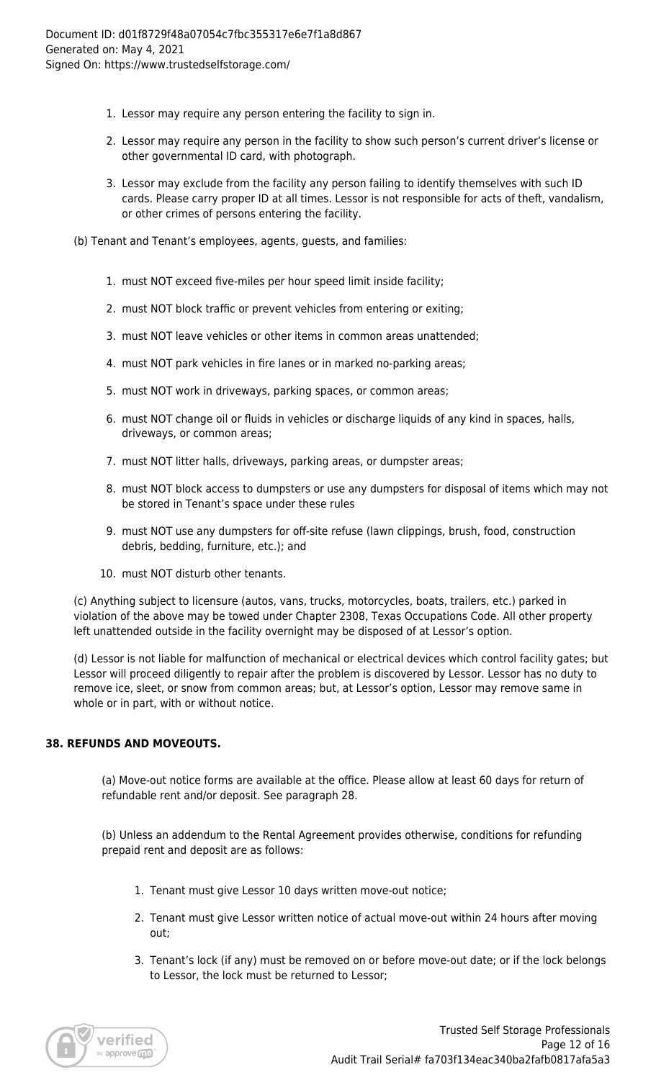- 1. Lessor may require any person entering the facility to sign in.
- 2. Lessor may require any person in the facility to show such person's current driver's license or other governmental ID card, with photograph.
- 3. Lessor may exclude from the facility any person failing to identify themselves with such ID cards. Please carry proper ID at all times. Lessor is not responsible for acts of theft, vandalism, or other crimes of persons entering the facility.
- (b) Tenant and Tenant's employees, agents, guests, and families:
	- 1. must NOT exceed five-miles per hour speed limit inside facility;
	- 2. must NOT block traffic or prevent vehicles from entering or exiting;
	- 3. must NOT leave vehicles or other items in common areas unattended;
	- 4. must NOT park vehicles in fire lanes or in marked no-parking areas;
	- 5. must NOT work in driveways, parking spaces, or common areas;
	- 6. must NOT change oil or fluids in vehicles or discharge liquids of any kind in spaces, halls, driveways, or common areas;
	- 7. must NOT litter halls, driveways, parking areas, or dumpster areas;
	- 8. must NOT block access to dumpsters or use any dumpsters for disposal of items which may not be stored in Tenant's space under these rules
	- 9. must NOT use any dumpsters for off-site refuse (lawn clippings, brush, food, construction debris, bedding, furniture, etc.); and
	- 10. must NOT disturb other tenants.

(c) Anything subject to licensure (autos, vans, trucks, motorcycles, boats, trailers, etc.) parked in violation of the above may be towed under Chapter 2308, Texas Occupations Code. All other property left unattended outside in the facility overnight may be disposed of at Lessor's option.

(d) Lessor is not liable for malfunction of mechanical or electrical devices which control facility gates; but Lessor will proceed diligently to repair after the problem is discovered by Lessor. Lessor has no duty to remove ice, sleet, or snow from common areas; but, at Lessor's option, Lessor may remove same in whole or in part, with or without notice.

# **38. REFUNDS AND MOVEOUTS.**

(a) Move-out notice forms are available at the office. Please allow at least 60 days for return of refundable rent and/or deposit. See paragraph 28.

(b) Unless an addendum to the Rental Agreement provides otherwise, conditions for refunding prepaid rent and deposit are as follows:

- 1. Tenant must give Lessor 10 days written move-out notice;
- 2. Tenant must give Lessor written notice of actual move-out within 24 hours after moving out;
- 3. Tenant's lock (if any) must be removed on or before move-out date; or if the lock belongs to Lessor, the lock must be returned to Lessor;

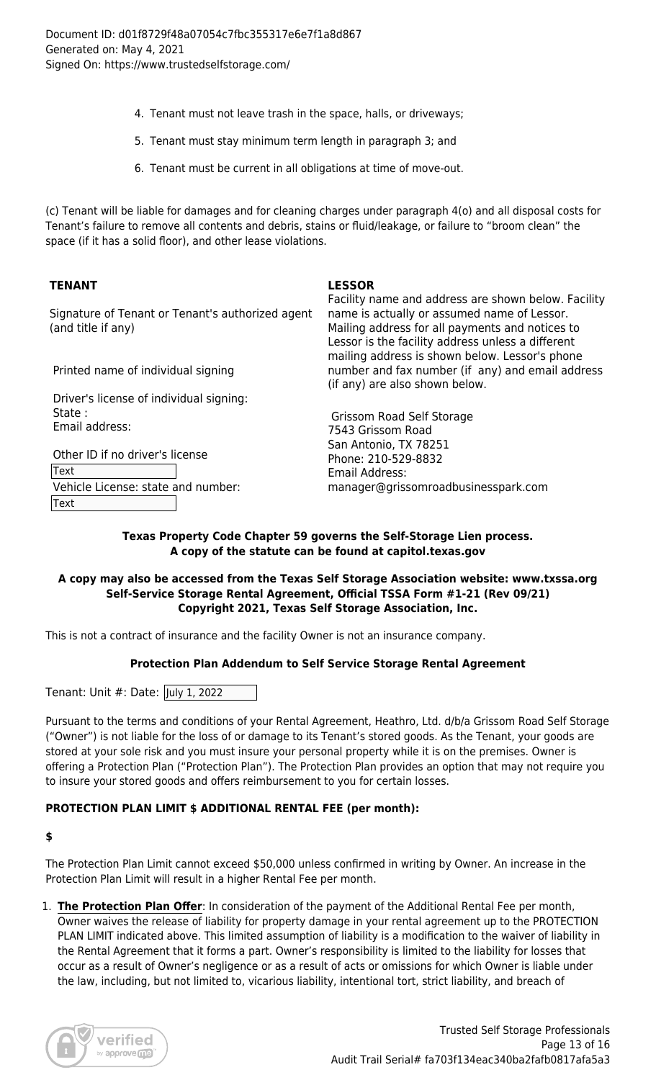- 4. Tenant must not leave trash in the space, halls, or driveways;
- 5. Tenant must stay minimum term length in paragraph 3; and
- 6. Tenant must be current in all obligations at time of move-out.

(c) Tenant will be liable for damages and for cleaning charges under paragraph 4(o) and all disposal costs for Tenant's failure to remove all contents and debris, stains or fluid/leakage, or failure to "broom clean" the space (if it has a solid floor), and other lease violations.

# **TENANT LESSOR**

Signature of Tenant or Tenant's authorized agent (and title if any)

Printed name of individual signing

 Driver's license of individual signing: State : Email address:

 Other ID if no driver's license Text Vehicle License: state and number: Text

Facility name and address are shown below. Facility name is actually or assumed name of Lessor. Mailing address for all payments and notices to Lessor is the facility address unless a different mailing address is shown below. Lessor's phone number and fax number (if any) and email address (if any) are also shown below.

 Grissom Road Self Storage 7543 Grissom Road San Antonio, TX 78251 Phone: 210-529-8832 Email Address: manager@grissomroadbusinesspark.com

#### **Texas Property Code Chapter 59 governs the Self-Storage Lien process. A copy of the statute can be found at capitol.texas.gov**

#### **A copy may also be accessed from the Texas Self Storage Association website: www.txssa.org Self-Service Storage Rental Agreement, Official TSSA Form #1-21 (Rev 09/21) Copyright 2021, Texas Self Storage Association, Inc.**

This is not a contract of insurance and the facility Owner is not an insurance company.

# **Protection Plan Addendum to Self Service Storage Rental Agreement**

Tenant: Unit #: Date: July 1, 2022

Pursuant to the terms and conditions of your Rental Agreement, Heathro, Ltd. d/b/a Grissom Road Self Storage ("Owner") is not liable for the loss of or damage to its Tenant's stored goods. As the Tenant, your goods are stored at your sole risk and you must insure your personal property while it is on the premises. Owner is offering a Protection Plan ("Protection Plan"). The Protection Plan provides an option that may not require you to insure your stored goods and offers reimbursement to you for certain losses.

#### **PROTECTION PLAN LIMIT \$ ADDITIONAL RENTAL FEE (per month):**

#### **\$**

The Protection Plan Limit cannot exceed \$50,000 unless confirmed in writing by Owner. An increase in the Protection Plan Limit will result in a higher Rental Fee per month.

1. **The Protection Plan Offer**: In consideration of the payment of the Additional Rental Fee per month, Owner waives the release of liability for property damage in your rental agreement up to the PROTECTION PLAN LIMIT indicated above. This limited assumption of liability is a modification to the waiver of liability in the Rental Agreement that it forms a part. Owner's responsibility is limited to the liability for losses that occur as a result of Owner's negligence or as a result of acts or omissions for which Owner is liable under the law, including, but not limited to, vicarious liability, intentional tort, strict liability, and breach of

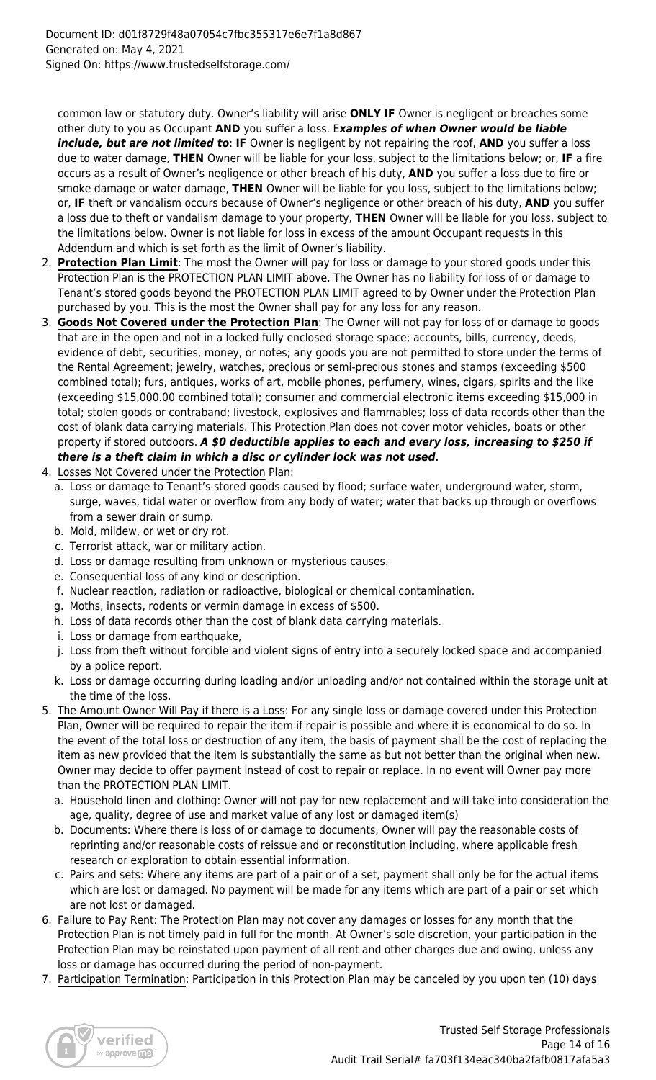common law or statutory duty. Owner's liability will arise **ONLY IF** Owner is negligent or breaches some other duty to you as Occupant **AND** you suffer a loss. E*xamples of when Owner would be liable include, but are not limited to*: **IF** Owner is negligent by not repairing the roof, **AND** you suffer a loss due to water damage, **THEN** Owner will be liable for your loss, subject to the limitations below; or, **IF** a fire occurs as a result of Owner's negligence or other breach of his duty, **AND** you suffer a loss due to fire or smoke damage or water damage, **THEN** Owner will be liable for you loss, subject to the limitations below; or, **IF** theft or vandalism occurs because of Owner's negligence or other breach of his duty, **AND** you suffer a loss due to theft or vandalism damage to your property, **THEN** Owner will be liable for you loss, subject to the limitations below. Owner is not liable for loss in excess of the amount Occupant requests in this Addendum and which is set forth as the limit of Owner's liability.

- 2. **Protection Plan Limit**: The most the Owner will pay for loss or damage to your stored goods under this Protection Plan is the PROTECTION PLAN LIMIT above. The Owner has no liability for loss of or damage to Tenant's stored goods beyond the PROTECTION PLAN LIMIT agreed to by Owner under the Protection Plan purchased by you. This is the most the Owner shall pay for any loss for any reason.
- 3. **Goods Not Covered under the Protection Plan**: The Owner will not pay for loss of or damage to goods that are in the open and not in a locked fully enclosed storage space; accounts, bills, currency, deeds, evidence of debt, securities, money, or notes; any goods you are not permitted to store under the terms of the Rental Agreement; jewelry, watches, precious or semi-precious stones and stamps (exceeding \$500 combined total); furs, antiques, works of art, mobile phones, perfumery, wines, cigars, spirits and the like (exceeding \$15,000.00 combined total); consumer and commercial electronic items exceeding \$15,000 in total; stolen goods or contraband; livestock, explosives and flammables; loss of data records other than the cost of blank data carrying materials. This Protection Plan does not cover motor vehicles, boats or other property if stored outdoors. *A \$0 deductible applies to each and every loss, increasing to \$250 if there is a theft claim in which a disc or cylinder lock was not used.*
- 4. Losses Not Covered under the Protection Plan:
	- a. Loss or damage to Tenant's stored goods caused by flood; surface water, underground water, storm, surge, waves, tidal water or overflow from any body of water; water that backs up through or overflows from a sewer drain or sump.
	- b. Mold, mildew, or wet or dry rot.
	- c. Terrorist attack, war or military action.
	- d. Loss or damage resulting from unknown or mysterious causes.
	- e. Consequential loss of any kind or description.
	- f. Nuclear reaction, radiation or radioactive, biological or chemical contamination.
	- g. Moths, insects, rodents or vermin damage in excess of \$500.
	- h. Loss of data records other than the cost of blank data carrying materials.
	- i. Loss or damage from earthquake,
	- j. Loss from theft without forcible and violent signs of entry into a securely locked space and accompanied by a police report.
	- k. Loss or damage occurring during loading and/or unloading and/or not contained within the storage unit at the time of the loss.
- 5. The Amount Owner Will Pay if there is a Loss: For any single loss or damage covered under this Protection Plan, Owner will be required to repair the item if repair is possible and where it is economical to do so. In the event of the total loss or destruction of any item, the basis of payment shall be the cost of replacing the item as new provided that the item is substantially the same as but not better than the original when new. Owner may decide to offer payment instead of cost to repair or replace. In no event will Owner pay more than the PROTECTION PLAN LIMIT.
	- a. Household linen and clothing: Owner will not pay for new replacement and will take into consideration the age, quality, degree of use and market value of any lost or damaged item(s)
	- b. Documents: Where there is loss of or damage to documents, Owner will pay the reasonable costs of reprinting and/or reasonable costs of reissue and or reconstitution including, where applicable fresh research or exploration to obtain essential information.
	- c. Pairs and sets: Where any items are part of a pair or of a set, payment shall only be for the actual items which are lost or damaged. No payment will be made for any items which are part of a pair or set which are not lost or damaged.
- 6. Failure to Pay Rent: The Protection Plan may not cover any damages or losses for any month that the Protection Plan is not timely paid in full for the month. At Owner's sole discretion, your participation in the Protection Plan may be reinstated upon payment of all rent and other charges due and owing, unless any loss or damage has occurred during the period of non-payment.
- 7. Participation Termination: Participation in this Protection Plan may be canceled by you upon ten (10) days

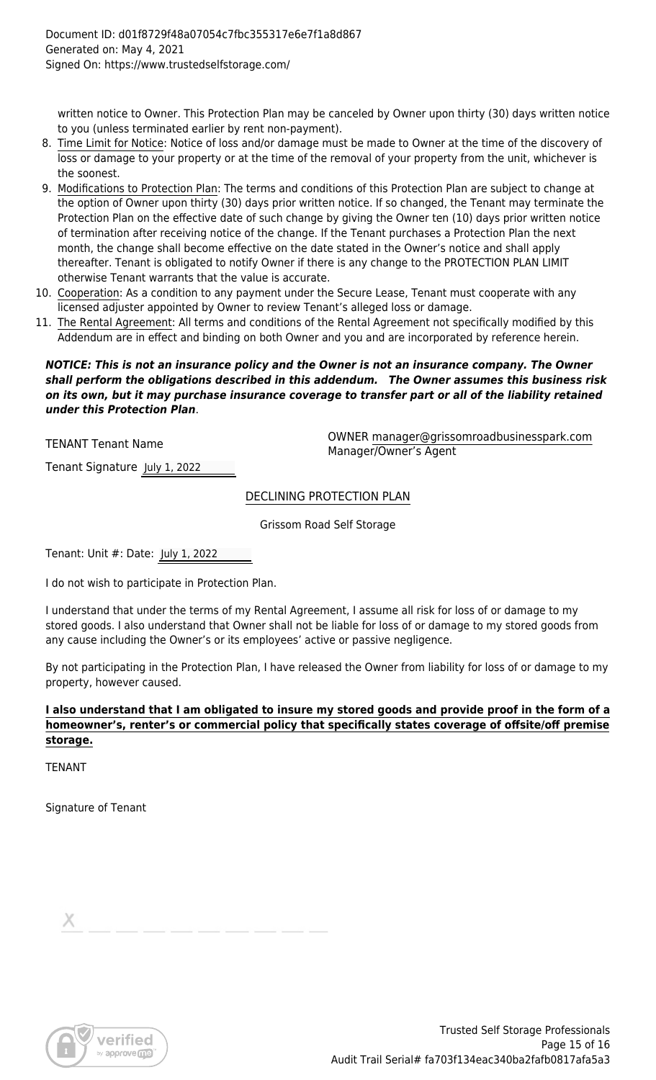written notice to Owner. This Protection Plan may be canceled by Owner upon thirty (30) days written notice to you (unless terminated earlier by rent non-payment).

- 8. Time Limit for Notice: Notice of loss and/or damage must be made to Owner at the time of the discovery of loss or damage to your property or at the time of the removal of your property from the unit, whichever is the soonest.
- 9. Modifications to Protection Plan: The terms and conditions of this Protection Plan are subject to change at the option of Owner upon thirty (30) days prior written notice. If so changed, the Tenant may terminate the Protection Plan on the effective date of such change by giving the Owner ten (10) days prior written notice of termination after receiving notice of the change. If the Tenant purchases a Protection Plan the next month, the change shall become effective on the date stated in the Owner's notice and shall apply thereafter. Tenant is obligated to notify Owner if there is any change to the PROTECTION PLAN LIMIT otherwise Tenant warrants that the value is accurate.
- 10. Cooperation: As a condition to any payment under the Secure Lease, Tenant must cooperate with any licensed adjuster appointed by Owner to review Tenant's alleged loss or damage.
- 11. The Rental Agreement: All terms and conditions of the Rental Agreement not specifically modified by this Addendum are in effect and binding on both Owner and you and are incorporated by reference herein.

#### *NOTICE: This is not an insurance policy and the Owner is not an insurance company. The Owner shall perform the obligations described in this addendum. The Owner assumes this business risk on its own, but it may purchase insurance coverage to transfer part or all of the liability retained under this Protection Plan*.

TENANT Tenant Name OWNER manager@grissomroadbusinesspark.com Manager/Owner's Agent

Tenant Signature July 1, 2022

DECLINING PROTECTION PLAN

Grissom Road Self Storage

Tenant: Unit #: Date: July 1, 2022

I do not wish to participate in Protection Plan.

I understand that under the terms of my Rental Agreement, I assume all risk for loss of or damage to my stored goods. I also understand that Owner shall not be liable for loss of or damage to my stored goods from any cause including the Owner's or its employees' active or passive negligence.

By not participating in the Protection Plan, I have released the Owner from liability for loss of or damage to my property, however caused.

**I also understand that I am obligated to insure my stored goods and provide proof in the form of a homeowner's, renter's or commercial policy that specifically states coverage of offsite/off premise storage.**

TENANT

Signature of Tenant

| $\sim$                                                                                                                                                                                                                        |  |  |  |  |  |
|-------------------------------------------------------------------------------------------------------------------------------------------------------------------------------------------------------------------------------|--|--|--|--|--|
| the control of the control of the control of the control of the control of the control of the control of the control of the control of the control of the control of the control of the control of the control of the control |  |  |  |  |  |